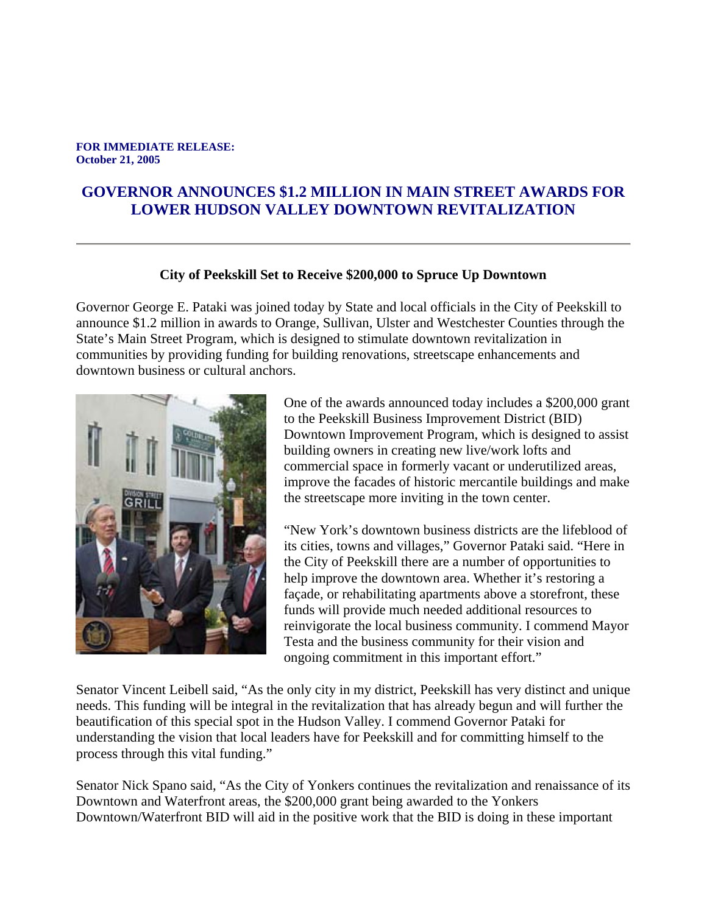## **FOR IMMEDIATE RELEASE: October 21, 2005**

## **GOVERNOR ANNOUNCES \$1.2 MILLION IN MAIN STREET AWARDS FOR LOWER HUDSON VALLEY DOWNTOWN REVITALIZATION**

## **City of Peekskill Set to Receive \$200,000 to Spruce Up Downtown**

Governor George E. Pataki was joined today by State and local officials in the City of Peekskill to announce \$1.2 million in awards to Orange, Sullivan, Ulster and Westchester Counties through the State's Main Street Program, which is designed to stimulate downtown revitalization in communities by providing funding for building renovations, streetscape enhancements and downtown business or cultural anchors.



One of the awards announced today includes a \$200,000 grant to the Peekskill Business Improvement District (BID) Downtown Improvement Program, which is designed to assist building owners in creating new live/work lofts and commercial space in formerly vacant or underutilized areas, improve the facades of historic mercantile buildings and make the streetscape more inviting in the town center.

"New York's downtown business districts are the lifeblood of its cities, towns and villages," Governor Pataki said. "Here in the City of Peekskill there are a number of opportunities to help improve the downtown area. Whether it's restoring a façade, or rehabilitating apartments above a storefront, these funds will provide much needed additional resources to reinvigorate the local business community. I commend Mayor Testa and the business community for their vision and ongoing commitment in this important effort."

Senator Vincent Leibell said, "As the only city in my district, Peekskill has very distinct and unique needs. This funding will be integral in the revitalization that has already begun and will further the beautification of this special spot in the Hudson Valley. I commend Governor Pataki for understanding the vision that local leaders have for Peekskill and for committing himself to the process through this vital funding."

Senator Nick Spano said, "As the City of Yonkers continues the revitalization and renaissance of its Downtown and Waterfront areas, the \$200,000 grant being awarded to the Yonkers Downtown/Waterfront BID will aid in the positive work that the BID is doing in these important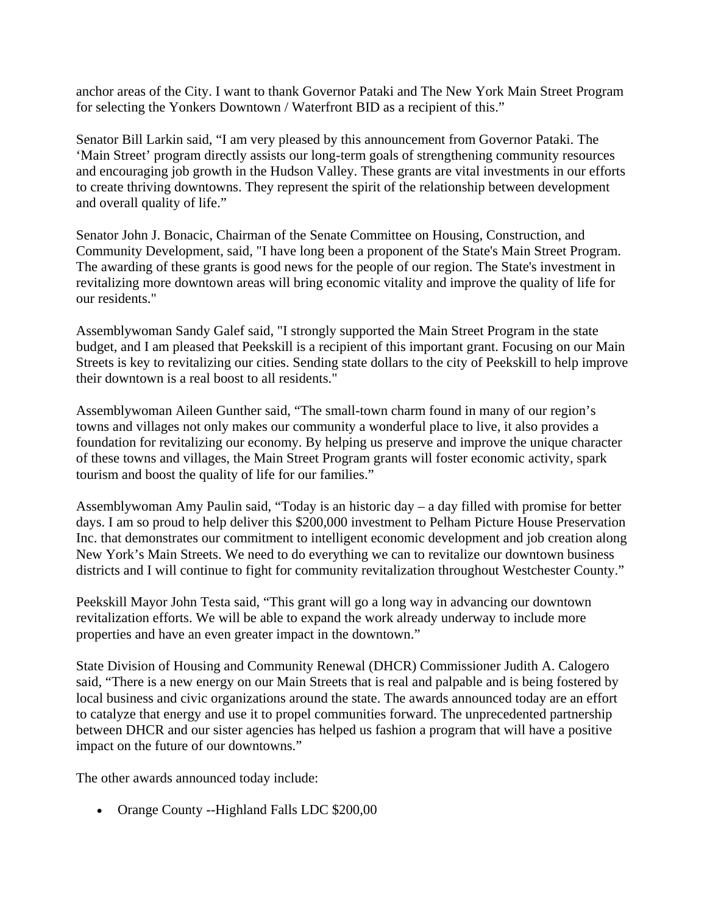anchor areas of the City. I want to thank Governor Pataki and The New York Main Street Program for selecting the Yonkers Downtown / Waterfront BID as a recipient of this."

Senator Bill Larkin said, "I am very pleased by this announcement from Governor Pataki. The 'Main Street' program directly assists our long-term goals of strengthening community resources and encouraging job growth in the Hudson Valley. These grants are vital investments in our efforts to create thriving downtowns. They represent the spirit of the relationship between development and overall quality of life."

Senator John J. Bonacic, Chairman of the Senate Committee on Housing, Construction, and Community Development, said, "I have long been a proponent of the State's Main Street Program. The awarding of these grants is good news for the people of our region. The State's investment in revitalizing more downtown areas will bring economic vitality and improve the quality of life for our residents."

Assemblywoman Sandy Galef said, "I strongly supported the Main Street Program in the state budget, and I am pleased that Peekskill is a recipient of this important grant. Focusing on our Main Streets is key to revitalizing our cities. Sending state dollars to the city of Peekskill to help improve their downtown is a real boost to all residents."

Assemblywoman Aileen Gunther said, "The small-town charm found in many of our region's towns and villages not only makes our community a wonderful place to live, it also provides a foundation for revitalizing our economy. By helping us preserve and improve the unique character of these towns and villages, the Main Street Program grants will foster economic activity, spark tourism and boost the quality of life for our families."

Assemblywoman Amy Paulin said, "Today is an historic day – a day filled with promise for better days. I am so proud to help deliver this \$200,000 investment to Pelham Picture House Preservation Inc. that demonstrates our commitment to intelligent economic development and job creation along New York's Main Streets. We need to do everything we can to revitalize our downtown business districts and I will continue to fight for community revitalization throughout Westchester County."

Peekskill Mayor John Testa said, "This grant will go a long way in advancing our downtown revitalization efforts. We will be able to expand the work already underway to include more properties and have an even greater impact in the downtown."

State Division of Housing and Community Renewal (DHCR) Commissioner Judith A. Calogero said, "There is a new energy on our Main Streets that is real and palpable and is being fostered by local business and civic organizations around the state. The awards announced today are an effort to catalyze that energy and use it to propel communities forward. The unprecedented partnership between DHCR and our sister agencies has helped us fashion a program that will have a positive impact on the future of our downtowns."

The other awards announced today include:

• Orange County --Highland Falls LDC \$200,00